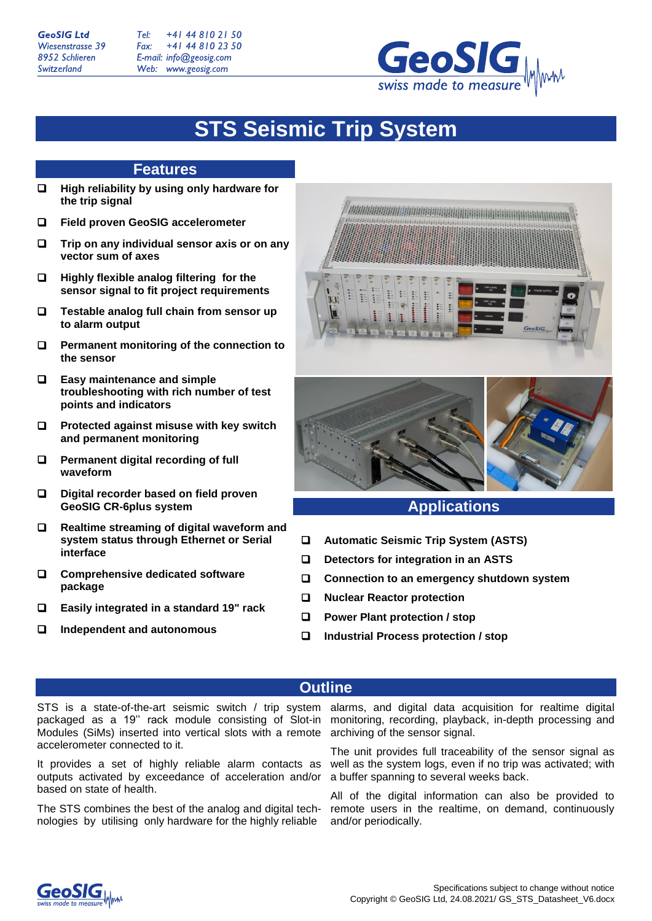**GeoSIG Ltd** Wiesenstrasse 39 8952 Schlieren Switzerland

+41 44 810 21 50  $Tel:$ Fax: +41 44 810 23 50 E-mail: info@geosig.com Web: www.geosig.com



# **STS Seismic Trip System**

## **Features**

- **High reliability by using only hardware for the trip signal**
- **Field proven GeoSIG accelerometer**
- **Trip on any individual sensor axis or on any vector sum of axes**
- **Highly flexible analog filtering for the sensor signal to fit project requirements**
- **Testable analog full chain from sensor up to alarm output**
- **Permanent monitoring of the connection to the sensor**
- **Easy maintenance and simple troubleshooting with rich number of test points and indicators**
- **Protected against misuse with key switch and permanent monitoring**
- **Permanent digital recording of full waveform**
- **Digital recorder based on field proven GeoSIG CR-6plus system**
- **Realtime streaming of digital waveform and system status through Ethernet or Serial interface**
- **Comprehensive dedicated software package**
- **Easily integrated in a standard 19" rack**
- **Independent and autonomous**





# **Applications**

- **Automatic Seismic Trip System (ASTS)**
- **Detectors for integration in an ASTS**
- **Connection to an emergency shutdown system**
- **Nuclear Reactor protection**
- **Power Plant protection / stop**
- **Industrial Process protection / stop**

# **Outline**

packaged as a 19'' rack module consisting of Slot-in Modules (SiMs) inserted into vertical slots with a remote accelerometer connected to it.

It provides a set of highly reliable alarm contacts as outputs activated by exceedance of acceleration and/or based on state of health.

The STS combines the best of the analog and digital technologies by utilising only hardware for the highly reliable

STS is a state-of-the-art seismic switch / trip system alarms, and digital data acquisition for realtime digital monitoring, recording, playback, in-depth processing and archiving of the sensor signal.

> The unit provides full traceability of the sensor signal as well as the system logs, even if no trip was activated; with a buffer spanning to several weeks back.

> All of the digital information can also be provided to remote users in the realtime, on demand, continuously and/or periodically.